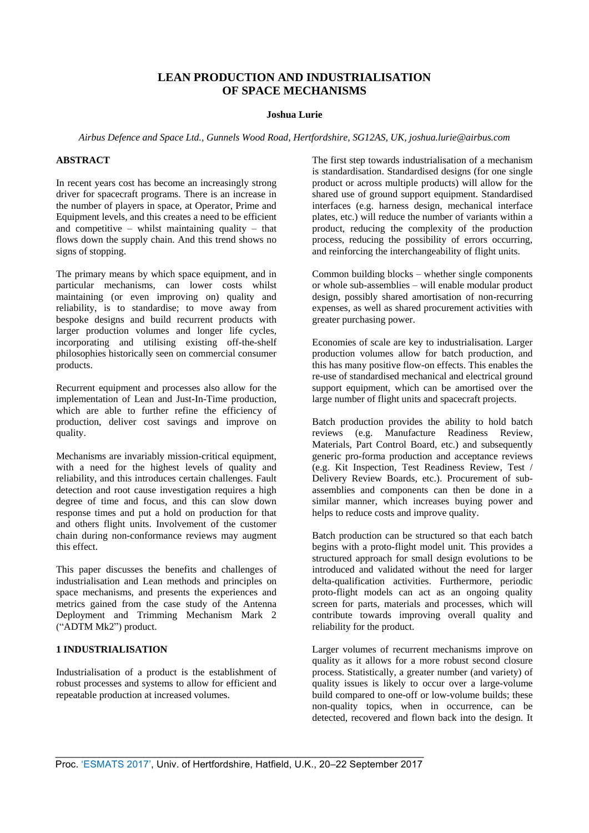# **LEAN PRODUCTION AND INDUSTRIALISATION OF SPACE MECHANISMS**

### **Joshua Lurie**

*Airbus Defence and Space Ltd., Gunnels Wood Road, Hertfordshire, SG12AS, UK, joshua.lurie@airbus.com* 

#### **ABSTRACT**

In recent years cost has become an increasingly strong driver for spacecraft programs. There is an increase in the number of players in space, at Operator, Prime and Equipment levels, and this creates a need to be efficient and competitive – whilst maintaining quality – that flows down the supply chain. And this trend shows no signs of stopping.

The primary means by which space equipment, and in particular mechanisms, can lower costs whilst maintaining (or even improving on) quality and reliability, is to standardise; to move away from bespoke designs and build recurrent products with larger production volumes and longer life cycles, incorporating and utilising existing off-the-shelf philosophies historically seen on commercial consumer products.

Recurrent equipment and processes also allow for the implementation of Lean and Just-In-Time production, which are able to further refine the efficiency of production, deliver cost savings and improve on quality.

Mechanisms are invariably mission-critical equipment, with a need for the highest levels of quality and reliability, and this introduces certain challenges. Fault detection and root cause investigation requires a high degree of time and focus, and this can slow down response times and put a hold on production for that and others flight units. Involvement of the customer chain during non-conformance reviews may augment this effect.

This paper discusses the benefits and challenges of industrialisation and Lean methods and principles on space mechanisms, and presents the experiences and metrics gained from the case study of the Antenna Deployment and Trimming Mechanism Mark 2 ("ADTM Mk2") product.

# **1 INDUSTRIALISATION**

Industrialisation of a product is the establishment of robust processes and systems to allow for efficient and repeatable production at increased volumes.

The first step towards industrialisation of a mechanism is standardisation. Standardised designs (for one single product or across multiple products) will allow for the shared use of ground support equipment. Standardised interfaces (e.g. harness design, mechanical interface plates, etc.) will reduce the number of variants within a product, reducing the complexity of the production process, reducing the possibility of errors occurring, and reinforcing the interchangeability of flight units.

Common building blocks – whether single components or whole sub-assemblies – will enable modular product design, possibly shared amortisation of non-recurring expenses, as well as shared procurement activities with greater purchasing power.

Economies of scale are key to industrialisation. Larger production volumes allow for batch production, and this has many positive flow-on effects. This enables the re-use of standardised mechanical and electrical ground support equipment, which can be amortised over the large number of flight units and spacecraft projects.

Batch production provides the ability to hold batch reviews (e.g. Manufacture Readiness Review, Materials, Part Control Board, etc.) and subsequently generic pro-forma production and acceptance reviews (e.g. Kit Inspection, Test Readiness Review, Test / Delivery Review Boards, etc.). Procurement of subassemblies and components can then be done in a similar manner, which increases buying power and helps to reduce costs and improve quality.

Batch production can be structured so that each batch begins with a proto-flight model unit. This provides a structured approach for small design evolutions to be introduced and validated without the need for larger delta-qualification activities. Furthermore, periodic proto-flight models can act as an ongoing quality screen for parts, materials and processes, which will contribute towards improving overall quality and reliability for the product.

Larger volumes of recurrent mechanisms improve on quality as it allows for a more robust second closure process. Statistically, a greater number (and variety) of quality issues is likely to occur over a large-volume build compared to one-off or low-volume builds; these non-quality topics, when in occurrence, can be detected, recovered and flown back into the design. It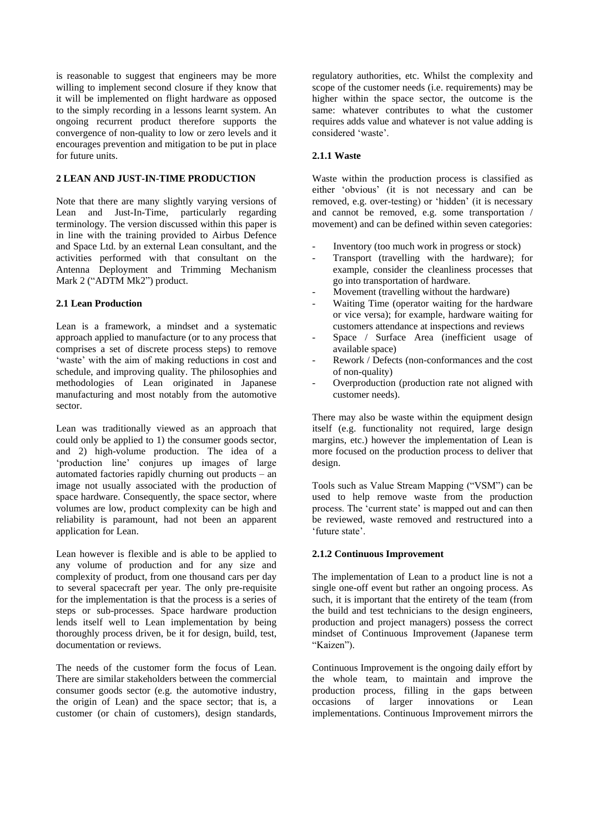is reasonable to suggest that engineers may be more willing to implement second closure if they know that it will be implemented on flight hardware as opposed to the simply recording in a lessons learnt system. An ongoing recurrent product therefore supports the convergence of non-quality to low or zero levels and it encourages prevention and mitigation to be put in place for future units.

# **2 LEAN AND JUST-IN-TIME PRODUCTION**

Note that there are many slightly varying versions of Lean and Just-In-Time, particularly regarding terminology. The version discussed within this paper is in line with the training provided to Airbus Defence and Space Ltd. by an external Lean consultant, and the activities performed with that consultant on the Antenna Deployment and Trimming Mechanism Mark 2 ("ADTM Mk2") product.

### **2.1 Lean Production**

Lean is a framework, a mindset and a systematic approach applied to manufacture (or to any process that comprises a set of discrete process steps) to remove 'waste' with the aim of making reductions in cost and schedule, and improving quality. The philosophies and methodologies of Lean originated in Japanese manufacturing and most notably from the automotive sector.

Lean was traditionally viewed as an approach that could only be applied to 1) the consumer goods sector, and 2) high-volume production. The idea of a 'production line' conjures up images of large automated factories rapidly churning out products – an image not usually associated with the production of space hardware. Consequently, the space sector, where volumes are low, product complexity can be high and reliability is paramount, had not been an apparent application for Lean.

Lean however is flexible and is able to be applied to any volume of production and for any size and complexity of product, from one thousand cars per day to several spacecraft per year. The only pre-requisite for the implementation is that the process is a series of steps or sub-processes. Space hardware production lends itself well to Lean implementation by being thoroughly process driven, be it for design, build, test, documentation or reviews.

The needs of the customer form the focus of Lean. There are similar stakeholders between the commercial consumer goods sector (e.g. the automotive industry, the origin of Lean) and the space sector; that is, a customer (or chain of customers), design standards,

regulatory authorities, etc. Whilst the complexity and scope of the customer needs (i.e. requirements) may be higher within the space sector, the outcome is the same: whatever contributes to what the customer requires adds value and whatever is not value adding is considered 'waste'.

#### **2.1.1 Waste**

Waste within the production process is classified as either 'obvious' (it is not necessary and can be removed, e.g. over-testing) or 'hidden' (it is necessary and cannot be removed, e.g. some transportation / movement) and can be defined within seven categories:

- Inventory (too much work in progress or stock)
- Transport (travelling with the hardware); for example, consider the cleanliness processes that go into transportation of hardware.
- Movement (travelling without the hardware)
- Waiting Time (operator waiting for the hardware or vice versa); for example, hardware waiting for customers attendance at inspections and reviews
- Space / Surface Area (inefficient usage of available space)
- Rework / Defects (non-conformances and the cost of non-quality)
- Overproduction (production rate not aligned with customer needs).

There may also be waste within the equipment design itself (e.g. functionality not required, large design margins, etc.) however the implementation of Lean is more focused on the production process to deliver that design.

Tools such as Value Stream Mapping ("VSM") can be used to help remove waste from the production process. The 'current state' is mapped out and can then be reviewed, waste removed and restructured into a 'future state'.

### **2.1.2 Continuous Improvement**

The implementation of Lean to a product line is not a single one-off event but rather an ongoing process. As such, it is important that the entirety of the team (from the build and test technicians to the design engineers, production and project managers) possess the correct mindset of Continuous Improvement (Japanese term "Kaizen").

Continuous Improvement is the ongoing daily effort by the whole team, to maintain and improve the production process, filling in the gaps between occasions of larger innovations or Lean implementations. Continuous Improvement mirrors the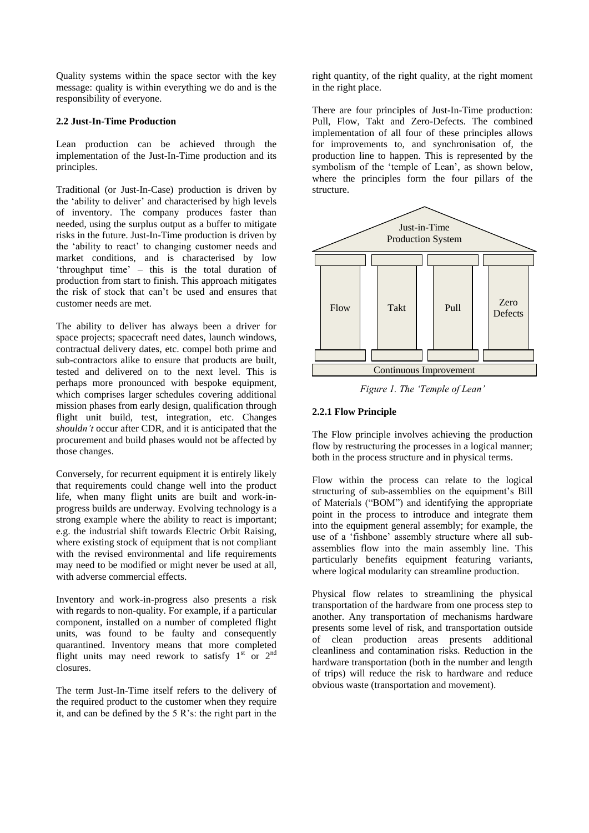Quality systems within the space sector with the key message: quality is within everything we do and is the responsibility of everyone.

### **2.2 Just-In-Time Production**

Lean production can be achieved through the implementation of the Just-In-Time production and its principles.

Traditional (or Just-In-Case) production is driven by the 'ability to deliver' and characterised by high levels of inventory. The company produces faster than needed, using the surplus output as a buffer to mitigate risks in the future. Just-In-Time production is driven by the 'ability to react' to changing customer needs and market conditions, and is characterised by low 'throughput time' – this is the total duration of production from start to finish. This approach mitigates the risk of stock that can't be used and ensures that customer needs are met.

The ability to deliver has always been a driver for space projects; spacecraft need dates, launch windows, contractual delivery dates, etc. compel both prime and sub-contractors alike to ensure that products are built, tested and delivered on to the next level. This is perhaps more pronounced with bespoke equipment, which comprises larger schedules covering additional mission phases from early design, qualification through flight unit build, test, integration, etc. Changes *shouldn't* occur after CDR, and it is anticipated that the procurement and build phases would not be affected by those changes.

Conversely, for recurrent equipment it is entirely likely that requirements could change well into the product life, when many flight units are built and work-inprogress builds are underway. Evolving technology is a strong example where the ability to react is important; e.g. the industrial shift towards Electric Orbit Raising, where existing stock of equipment that is not compliant with the revised environmental and life requirements may need to be modified or might never be used at all, with adverse commercial effects.

Inventory and work-in-progress also presents a risk with regards to non-quality. For example, if a particular component, installed on a number of completed flight units, was found to be faulty and consequently quarantined. Inventory means that more completed flight units may need rework to satisfy  $1<sup>st</sup>$  or  $2<sup>nd</sup>$ closures.

The term Just-In-Time itself refers to the delivery of the required product to the customer when they require it, and can be defined by the 5 R's: the right part in the

right quantity, of the right quality, at the right moment in the right place.

There are four principles of Just-In-Time production: Pull, Flow, Takt and Zero-Defects. The combined implementation of all four of these principles allows for improvements to, and synchronisation of, the production line to happen. This is represented by the symbolism of the 'temple of Lean', as shown below, where the principles form the four pillars of the structure.



*Figure 1. The 'Temple of Lean'*

# **2.2.1 Flow Principle**

The Flow principle involves achieving the production flow by restructuring the processes in a logical manner; both in the process structure and in physical terms.

Flow within the process can relate to the logical structuring of sub-assemblies on the equipment's Bill of Materials ("BOM") and identifying the appropriate point in the process to introduce and integrate them into the equipment general assembly; for example, the use of a 'fishbone' assembly structure where all subassemblies flow into the main assembly line. This particularly benefits equipment featuring variants, where logical modularity can streamline production.

Physical flow relates to streamlining the physical transportation of the hardware from one process step to another. Any transportation of mechanisms hardware presents some level of risk, and transportation outside of clean production areas presents additional cleanliness and contamination risks. Reduction in the hardware transportation (both in the number and length of trips) will reduce the risk to hardware and reduce obvious waste (transportation and movement).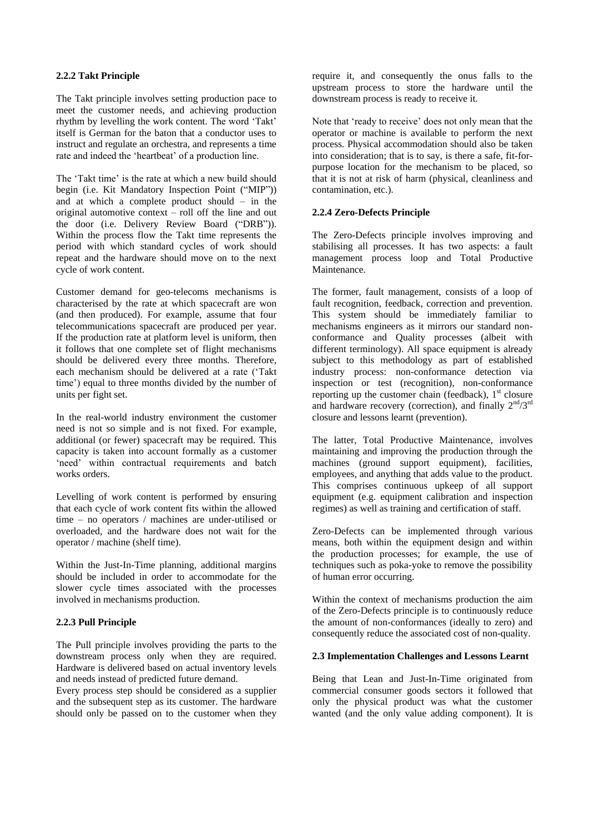#### **2.2.2 Takt Principle**

The Takt principle involves setting production pace to meet the customer needs, and achieving production rhythm by levelling the work content. The word 'Takt' itself is German for the baton that a conductor uses to instruct and regulate an orchestra, and represents a time rate and indeed the 'heartbeat' of a production line.

The 'Takt time' is the rate at which a new build should begin (i.e. Kit Mandatory Inspection Point ("MIP")) and at which a complete product should – in the original automotive context – roll off the line and out the door (i.e. Delivery Review Board ("DRB")). Within the process flow the Takt time represents the period with which standard cycles of work should repeat and the hardware should move on to the next cycle of work content.

Customer demand for geo-telecoms mechanisms is characterised by the rate at which spacecraft are won (and then produced). For example, assume that four telecommunications spacecraft are produced per year. If the production rate at platform level is uniform, then it follows that one complete set of flight mechanisms should be delivered every three months. Therefore, each mechanism should be delivered at a rate ('Takt time') equal to three months divided by the number of units per fight set.

In the real-world industry environment the customer need is not so simple and is not fixed. For example, additional (or fewer) spacecraft may be required. This capacity is taken into account formally as a customer 'need' within contractual requirements and batch works orders.

Levelling of work content is performed by ensuring that each cycle of work content fits within the allowed time – no operators / machines are under-utilised or overloaded, and the hardware does not wait for the operator / machine (shelf time).

Within the Just-In-Time planning, additional margins should be included in order to accommodate for the slower cycle times associated with the processes involved in mechanisms production.

### **2.2.3 Pull Principle**

The Pull principle involves providing the parts to the downstream process only when they are required. Hardware is delivered based on actual inventory levels and needs instead of predicted future demand.

Every process step should be considered as a supplier and the subsequent step as its customer. The hardware should only be passed on to the customer when they

require it, and consequently the onus falls to the upstream process to store the hardware until the downstream process is ready to receive it.

Note that 'ready to receive' does not only mean that the operator or machine is available to perform the next process. Physical accommodation should also be taken into consideration; that is to say, is there a safe, fit-forpurpose location for the mechanism to be placed, so that it is not at risk of harm (physical, cleanliness and contamination, etc.).

#### **2.2.4 Zero-Defects Principle**

The Zero-Defects principle involves improving and stabilising all processes. It has two aspects: a fault management process loop and Total Productive Maintenance.

The former, fault management, consists of a loop of fault recognition, feedback, correction and prevention. This system should be immediately familiar to mechanisms engineers as it mirrors our standard nonconformance and Quality processes (albeit with different terminology). All space equipment is already subject to this methodology as part of established industry process: non-conformance detection via inspection or test (recognition), non-conformance reporting up the customer chain (feedback),  $1<sup>st</sup>$  closure and hardware recovery (correction), and finally  $2<sup>nd</sup>/3<sup>rd</sup>$ closure and lessons learnt (prevention).

The latter, Total Productive Maintenance, involves maintaining and improving the production through the machines (ground support equipment), facilities, employees, and anything that adds value to the product. This comprises continuous upkeep of all support equipment (e.g. equipment calibration and inspection regimes) as well as training and certification of staff.

Zero-Defects can be implemented through various means, both within the equipment design and within the production processes; for example, the use of techniques such as poka-yoke to remove the possibility of human error occurring.

Within the context of mechanisms production the aim of the Zero-Defects principle is to continuously reduce the amount of non-conformances (ideally to zero) and consequently reduce the associated cost of non-quality.

#### **2.3 Implementation Challenges and Lessons Learnt**

Being that Lean and Just-In-Time originated from commercial consumer goods sectors it followed that only the physical product was what the customer wanted (and the only value adding component). It is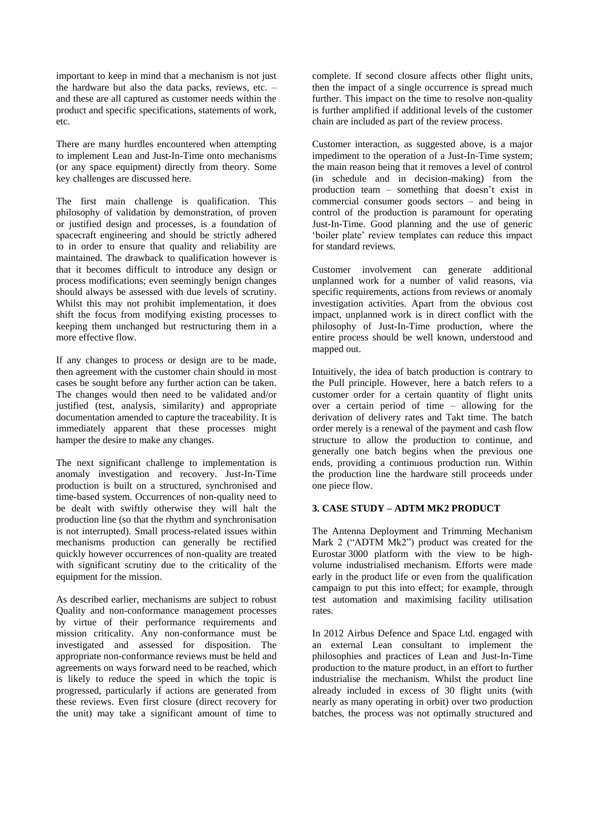important to keep in mind that a mechanism is not just the hardware but also the data packs, reviews, etc. – and these are all captured as customer needs within the product and specific specifications, statements of work, etc.

There are many hurdles encountered when attempting to implement Lean and Just-In-Time onto mechanisms (or any space equipment) directly from theory. Some key challenges are discussed here.

The first main challenge is qualification. This philosophy of validation by demonstration, of proven or justified design and processes, is a foundation of spacecraft engineering and should be strictly adhered to in order to ensure that quality and reliability are maintained. The drawback to qualification however is that it becomes difficult to introduce any design or process modifications; even seemingly benign changes should always be assessed with due levels of scrutiny. Whilst this may not prohibit implementation, it does shift the focus from modifying existing processes to keeping them unchanged but restructuring them in a more effective flow.

If any changes to process or design are to be made, then agreement with the customer chain should in most cases be sought before any further action can be taken. The changes would then need to be validated and/or justified (test, analysis, similarity) and appropriate documentation amended to capture the traceability. It is immediately apparent that these processes might hamper the desire to make any changes.

The next significant challenge to implementation is anomaly investigation and recovery. Just-In-Time production is built on a structured, synchronised and time-based system. Occurrences of non-quality need to be dealt with swiftly otherwise they will halt the production line (so that the rhythm and synchronisation is not interrupted). Small process-related issues within mechanisms production can generally be rectified quickly however occurrences of non-quality are treated with significant scrutiny due to the criticality of the equipment for the mission.

As described earlier, mechanisms are subject to robust Quality and non-conformance management processes by virtue of their performance requirements and mission criticality. Any non-conformance must be investigated and assessed for disposition. The appropriate non-conformance reviews must be held and agreements on ways forward need to be reached, which is likely to reduce the speed in which the topic is progressed, particularly if actions are generated from these reviews. Even first closure (direct recovery for the unit) may take a significant amount of time to

complete. If second closure affects other flight units, then the impact of a single occurrence is spread much further. This impact on the time to resolve non-quality is further amplified if additional levels of the customer chain are included as part of the review process.

Customer interaction, as suggested above, is a major impediment to the operation of a Just-In-Time system; the main reason being that it removes a level of control (in schedule and in decision-making) from the production team – something that doesn't exist in commercial consumer goods sectors – and being in control of the production is paramount for operating Just-In-Time. Good planning and the use of generic 'boiler plate' review templates can reduce this impact for standard reviews.

Customer involvement can generate additional unplanned work for a number of valid reasons, via specific requirements, actions from reviews or anomaly investigation activities. Apart from the obvious cost impact, unplanned work is in direct conflict with the philosophy of Just-In-Time production, where the entire process should be well known, understood and mapped out.

Intuitively, the idea of batch production is contrary to the Pull principle. However, here a batch refers to a customer order for a certain quantity of flight units over a certain period of time – allowing for the derivation of delivery rates and Takt time. The batch order merely is a renewal of the payment and cash flow structure to allow the production to continue, and generally one batch begins when the previous one ends, providing a continuous production run. Within the production line the hardware still proceeds under one piece flow.

## **3. CASE STUDY – ADTM MK2 PRODUCT**

The Antenna Deployment and Trimming Mechanism Mark 2 ("ADTM Mk2") product was created for the Eurostar 3000 platform with the view to be highvolume industrialised mechanism. Efforts were made early in the product life or even from the qualification campaign to put this into effect; for example, through test automation and maximising facility utilisation rates.

In 2012 Airbus Defence and Space Ltd. engaged with an external Lean consultant to implement the philosophies and practices of Lean and Just-In-Time production to the mature product, in an effort to further industrialise the mechanism. Whilst the product line already included in excess of 30 flight units (with nearly as many operating in orbit) over two production batches, the process was not optimally structured and